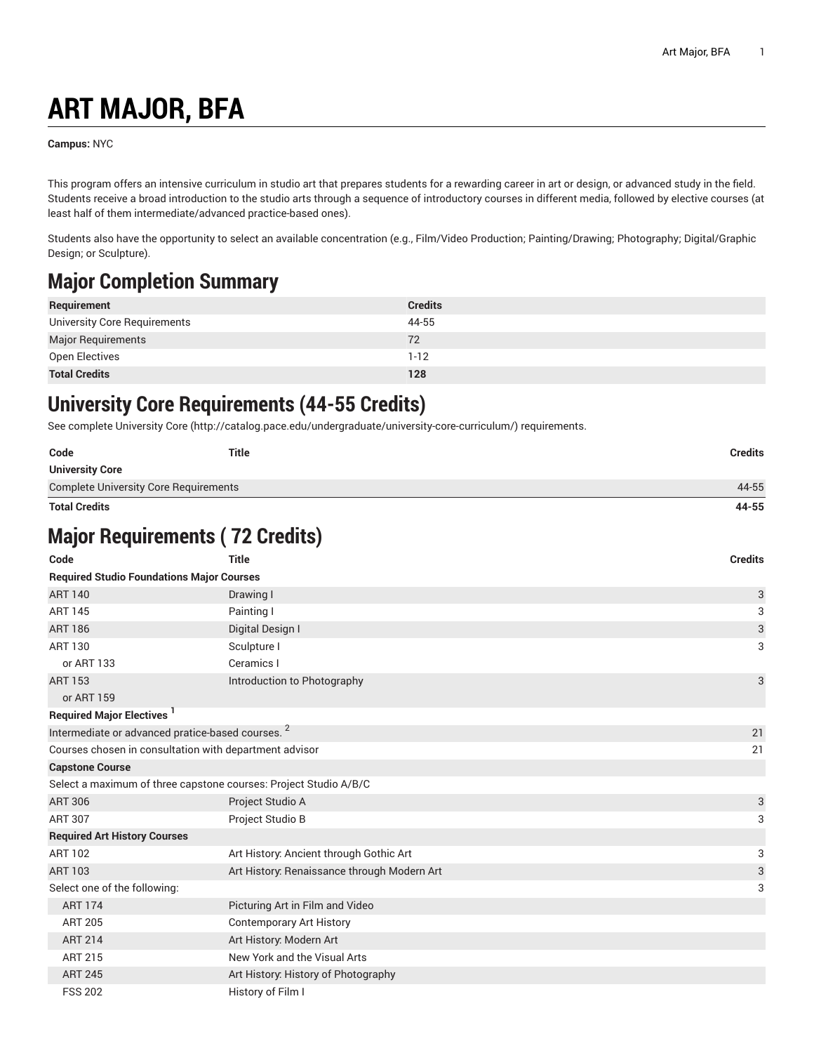## **ART MAJOR, BFA**

**Campus:** NYC

This program offers an intensive curriculum in studio art that prepares students for a rewarding career in art or design, or advanced study in the field. Students receive a broad introduction to the studio arts through a sequence of introductory courses in different media, followed by elective courses (at least half of them intermediate/advanced practice-based ones).

Students also have the opportunity to select an available concentration (e.g., Film/Video Production; Painting/Drawing; Photography; Digital/Graphic Design; or Sculpture).

## **Major Completion Summary**

| Requirement                  | <b>Credits</b> |
|------------------------------|----------------|
| University Core Requirements | 44-55          |
| <b>Major Requirements</b>    | 72             |
| Open Electives               | $1 - 12$       |
| <b>Total Credits</b>         | 128            |

## **University Core Requirements (44-55 Credits)**

See complete [University](http://catalog.pace.edu/undergraduate/university-core-curriculum/) Core (<http://catalog.pace.edu/undergraduate/university-core-curriculum/>) requirements.

| Code                                                             | <b>Title</b>                                | <b>Credits</b>            |
|------------------------------------------------------------------|---------------------------------------------|---------------------------|
| <b>University Core</b>                                           |                                             |                           |
| <b>Complete University Core Requirements</b>                     |                                             | 44-55                     |
| <b>Total Credits</b>                                             |                                             | 44-55                     |
| <b>Major Requirements (72 Credits)</b>                           |                                             |                           |
| Code                                                             | <b>Title</b>                                | <b>Credits</b>            |
| <b>Required Studio Foundations Major Courses</b>                 |                                             |                           |
| <b>ART 140</b>                                                   | Drawing I                                   | 3                         |
| <b>ART 145</b>                                                   | Painting I                                  | 3                         |
| <b>ART 186</b>                                                   | Digital Design I                            | $\ensuremath{\mathsf{3}}$ |
| <b>ART 130</b>                                                   | Sculpture I                                 | 3                         |
| or ART 133                                                       | Ceramics I                                  |                           |
| <b>ART 153</b>                                                   | Introduction to Photography                 | 3                         |
| or ART 159                                                       |                                             |                           |
| <b>Required Major Electives<sup>1</sup></b>                      |                                             |                           |
| Intermediate or advanced pratice-based courses. <sup>2</sup>     |                                             | 21                        |
| Courses chosen in consultation with department advisor           |                                             | 21                        |
| <b>Capstone Course</b>                                           |                                             |                           |
| Select a maximum of three capstone courses: Project Studio A/B/C |                                             |                           |
| <b>ART 306</b>                                                   | Project Studio A                            | 3                         |
| <b>ART 307</b>                                                   | Project Studio B                            | 3                         |
| <b>Required Art History Courses</b>                              |                                             |                           |
| <b>ART 102</b>                                                   | Art History: Ancient through Gothic Art     | 3                         |
| <b>ART 103</b>                                                   | Art History: Renaissance through Modern Art | $\ensuremath{\mathsf{3}}$ |
| Select one of the following:                                     |                                             | 3                         |
| <b>ART 174</b>                                                   | Picturing Art in Film and Video             |                           |
| <b>ART 205</b>                                                   | <b>Contemporary Art History</b>             |                           |
| <b>ART 214</b>                                                   | Art History: Modern Art                     |                           |
| <b>ART 215</b>                                                   | New York and the Visual Arts                |                           |
| <b>ART 245</b>                                                   | Art History: History of Photography         |                           |
| <b>FSS 202</b>                                                   | History of Film I                           |                           |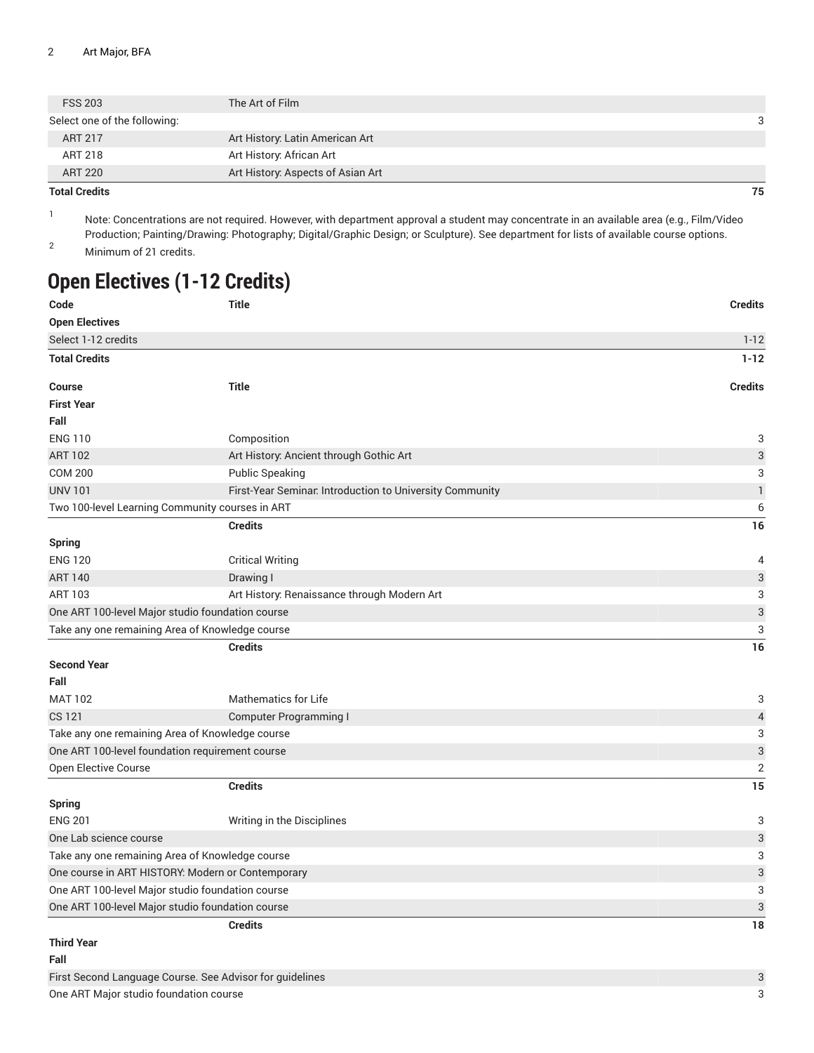| <b>Total Credits</b>         |                                   | 75 |
|------------------------------|-----------------------------------|----|
| <b>ART 220</b>               | Art History: Aspects of Asian Art |    |
| ART 218                      | Art History: African Art          |    |
| ART 217                      | Art History: Latin American Art   |    |
| Select one of the following: |                                   |    |
| <b>FSS 203</b>               | The Art of Film                   |    |
|                              |                                   |    |

1 Note: Concentrations are not required. However, with department approval a student may concentrate in an available area (e.g., Film/Video Production; Painting/Drawing: Photography; Digital/Graphic Design; or Sculpture). See department for lists of available course options.

<sup>2</sup> Minimum of 21 credits.

## **Open Electives (1-12 Credits)**

| Code                                             | <b>Title</b>                                             | <b>Credits</b>            |
|--------------------------------------------------|----------------------------------------------------------|---------------------------|
| <b>Open Electives</b>                            |                                                          |                           |
| Select 1-12 credits                              |                                                          | $1-12$                    |
| <b>Total Credits</b>                             |                                                          | $1 - 12$                  |
| <b>Course</b>                                    | <b>Title</b>                                             | <b>Credits</b>            |
| <b>First Year</b>                                |                                                          |                           |
| Fall                                             |                                                          |                           |
| <b>ENG 110</b>                                   | Composition                                              | 3                         |
| <b>ART 102</b>                                   | Art History: Ancient through Gothic Art                  | $\ensuremath{\mathsf{3}}$ |
| <b>COM 200</b>                                   | <b>Public Speaking</b>                                   | 3                         |
| <b>UNV 101</b>                                   | First-Year Seminar. Introduction to University Community | $\mathbbm{1}$             |
|                                                  | Two 100-level Learning Community courses in ART          | 6                         |
|                                                  | <b>Credits</b>                                           | 16                        |
| <b>Spring</b>                                    |                                                          |                           |
| <b>ENG 120</b>                                   | <b>Critical Writing</b>                                  | 4                         |
| <b>ART 140</b>                                   | Drawing I                                                | $\ensuremath{\mathsf{3}}$ |
| <b>ART 103</b>                                   | Art History: Renaissance through Modern Art              | 3                         |
|                                                  | One ART 100-level Major studio foundation course         | $\ensuremath{\mathsf{3}}$ |
|                                                  | Take any one remaining Area of Knowledge course          | 3                         |
|                                                  | <b>Credits</b>                                           | 16                        |
| <b>Second Year</b>                               |                                                          |                           |
| Fall                                             |                                                          |                           |
| <b>MAT 102</b>                                   | <b>Mathematics for Life</b>                              | 3                         |
| CS 121                                           | Computer Programming I                                   | $\overline{4}$            |
| Take any one remaining Area of Knowledge course  |                                                          | 3                         |
|                                                  | One ART 100-level foundation requirement course          | $\ensuremath{\mathsf{3}}$ |
| Open Elective Course                             |                                                          | $\overline{2}$            |
|                                                  | <b>Credits</b>                                           | 15                        |
| <b>Spring</b>                                    |                                                          |                           |
| <b>ENG 201</b>                                   | Writing in the Disciplines                               | 3                         |
| One Lab science course                           |                                                          | $\ensuremath{\mathsf{3}}$ |
|                                                  | Take any one remaining Area of Knowledge course          | 3                         |
|                                                  | One course in ART HISTORY: Modern or Contemporary        | $\ensuremath{\mathsf{3}}$ |
| One ART 100-level Major studio foundation course |                                                          | 3                         |
|                                                  | One ART 100-level Major studio foundation course         | $\ensuremath{\mathsf{3}}$ |
|                                                  | <b>Credits</b>                                           | 18                        |
| <b>Third Year</b>                                |                                                          |                           |
| Fall                                             |                                                          |                           |
| $\cdot$ $\sim$                                   | $\sim$ $\sim$ $\sim$ $\sim$                              | $\sim$                    |

First Second Language Course. See Advisor for guidelines 3 One ART Major studio foundation course 3